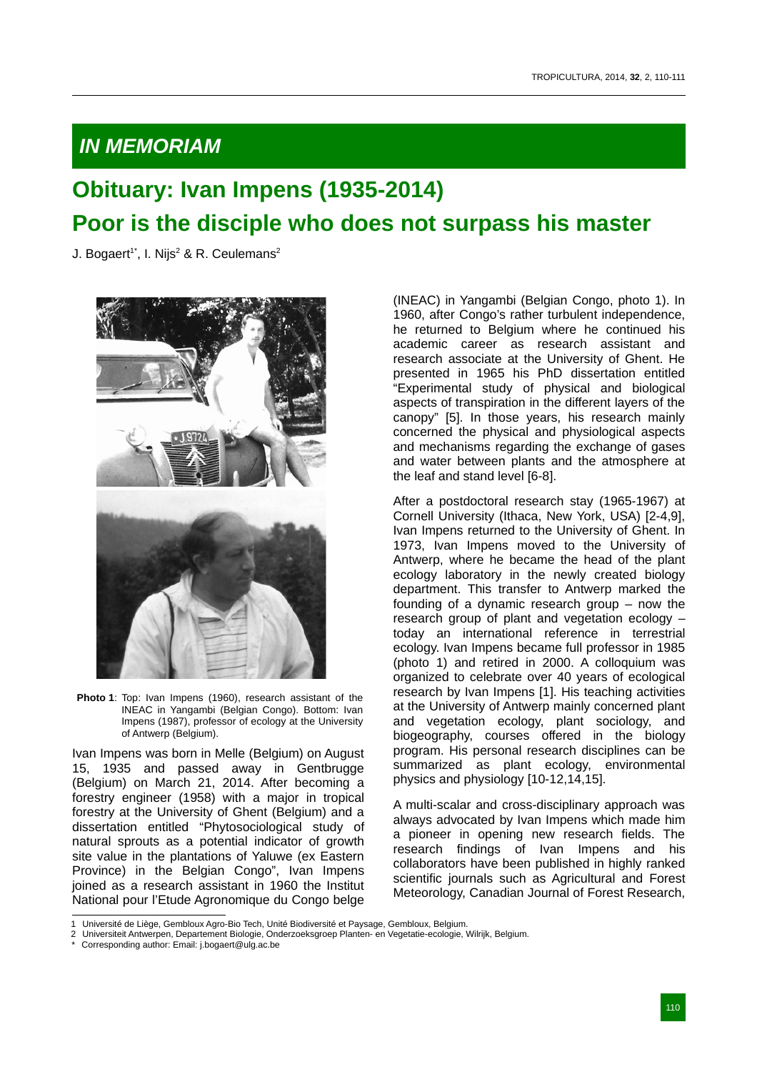## *IN MEMORIAM*

## **Obituary: Ivan Impens (1935-2014) Poor is the disciple who does not surpass his master**

J. Bogaert<sup>1\*</sup>, I. Nijs<sup>2</sup> & R. Ceulemans<sup>2</sup>



**Photo 1**: Top: Ivan Impens (1960), research assistant of the INEAC in Yangambi (Belgian Congo). Bottom: Ivan Impens (1987), professor of ecology at the University of Antwerp (Belgium).

Ivan Impens was born in Melle (Belgium) on August 15, 1935 and passed away in Gentbrugge (Belgium) on March 21, 2014. After becoming a forestry engineer (1958) with a major in tropical forestry at the University of Ghent (Belgium) and a dissertation entitled "Phytosociological study of natural sprouts as a potential indicator of growth site value in the plantations of Yaluwe (ex Eastern Province) in the Belgian Congo", Ivan Impens joined as a research assistant in 1960 the Institut National pour l'Etude Agronomique du Congo belge

(INEAC) in Yangambi (Belgian Congo, photo 1). In 1960, after Congo's rather turbulent independence, he returned to Belgium where he continued his academic career as research assistant and research associate at the University of Ghent. He presented in 1965 his PhD dissertation entitled "Experimental study of physical and biological aspects of transpiration in the different layers of the canopy" [5]. In those years, his research mainly concerned the physical and physiological aspects and mechanisms regarding the exchange of gases and water between plants and the atmosphere at the leaf and stand level [6-8].

After a postdoctoral research stay (1965-1967) at Cornell University (Ithaca, New York, USA) [2-4,9], Ivan Impens returned to the University of Ghent. In 1973, Ivan Impens moved to the University of Antwerp, where he became the head of the plant ecology laboratory in the newly created biology department. This transfer to Antwerp marked the founding of a dynamic research group – now the research group of plant and vegetation ecology – today an international reference in terrestrial ecology. Ivan Impens became full professor in 1985 (photo 1) and retired in 2000. A colloquium was organized to celebrate over 40 years of ecological research by Ivan Impens [1]. His teaching activities at the University of Antwerp mainly concerned plant and vegetation ecology, plant sociology, and biogeography, courses offered in the biology program. His personal research disciplines can be summarized as plant ecology, environmental physics and physiology [10-12,14,15].

A multi-scalar and cross-disciplinary approach was always advocated by Ivan Impens which made him a pioneer in opening new research fields. The research findings of Ivan Impens and his collaborators have been published in highly ranked scientific journals such as Agricultural and Forest Meteorology, Canadian Journal of Forest Research,

Corresponding author: Email: j.bogaert@ulg.ac.be

<sup>1</sup> Université de Liège, Gembloux Agro-Bio Tech, Unité Biodiversité et Paysage, Gembloux, Belgium.

<sup>2</sup> Universiteit Antwerpen, Departement Biologie, Onderzoeksgroep Planten- en Vegetatie-ecologie, Wilrijk, Belgium.<br>\* Cerresponding euther Em. 1997 (William Biologie, Onderzoeksgroep Planten- en Vegetatie-ecologie, Wilrijk,